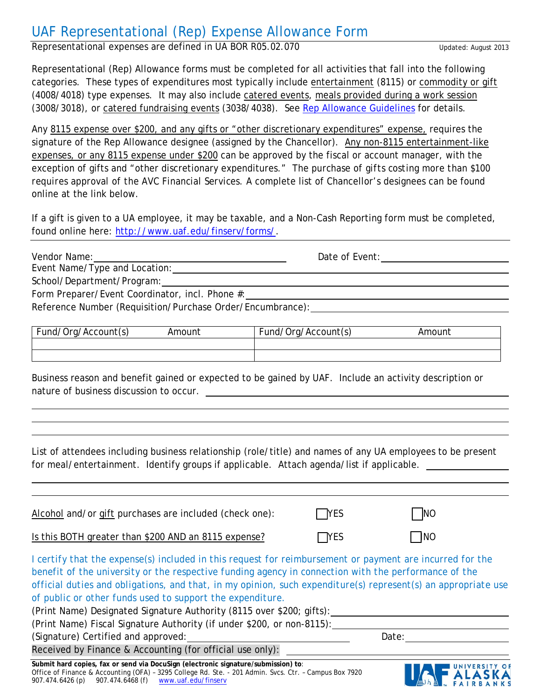# UAF Representational (Rep) Expense Allowance Form

Representational expenses are defined in UA BOR R05.02.070

Representational (Rep) Allowance forms must be completed for all activities that fall into the following categories. These types of expenditures most typically include entertainment (8115) or commodity or gift (4008/4018) type expenses. It may also include catered events, meals provided during a work session (3008/3018), or catered fundraising events (3038/4038). See [Rep Allowance Guidelines](http://www.uaf.edu/finserv/finance-accounting/cash-management/representational-allowanc/) for details.

Any 8115 expense over \$200, and any gifts or "other discretionary expenditures" expense, requires the signature of the Rep Allowance designee (assigned by the Chancellor). Any non-8115 entertainment-like expenses, or any 8115 expense under \$200 can be approved by the fiscal or account manager, with the exception of gifts and "other discretionary expenditures." *The purchase of gifts costing more than \$100 requires approval of the AVC Financial Services.* A complete list of Chancellor's designees can be found online at the link below.

If a gift is given to a UA employee, it may be taxable, and a Non-Cash Reporting form must be completed, found online here: [http://www.uaf.edu/finserv/forms/.](http://www.uaf.edu/finserv/forms/)

| Vendor Name:                                    | Date of Event: |  |
|-------------------------------------------------|----------------|--|
| Event Name/Type and Location:                   |                |  |
| School/Department/Program:                      |                |  |
| Form Preparer/Event Coordinator, incl. Phone #: |                |  |
|                                                 |                |  |

Reference Number (Requisition/Purchase Order/Encumbrance):

| Fund,<br>l/Org/Account(s) | '\mount | 'Account(s)<br>Fund,<br>Draz.<br>ັ | ∖mount |
|---------------------------|---------|------------------------------------|--------|
|                           |         |                                    |        |
|                           |         |                                    |        |

Business reason and benefit gained or expected to be gained by UAF. Include an activity description or nature of business discussion to occur.

List of attendees including business relationship (role/title) and names of any UA employees to be present for meal/entertainment. Identify groups if applicable. Attach agenda/list if applicable.

| Alcohol and/or gift purchases are included (check one):                                                                                                                                                                                                                                                                                                                                                                                                                                                                                           | <b>TYES</b> | <b>NO</b>  |  |
|---------------------------------------------------------------------------------------------------------------------------------------------------------------------------------------------------------------------------------------------------------------------------------------------------------------------------------------------------------------------------------------------------------------------------------------------------------------------------------------------------------------------------------------------------|-------------|------------|--|
| Is this BOTH greater than \$200 AND an 8115 expense?                                                                                                                                                                                                                                                                                                                                                                                                                                                                                              | $\Box$ YES  | <b>INO</b> |  |
| I certify that the expense(s) included in this request for reimbursement or payment are incurred for the<br>benefit of the university or the respective funding agency in connection with the performance of the<br>official duties and obligations, and that, in my opinion, such expenditure(s) represent(s) an appropriate use<br>of public or other funds used to support the expenditure.<br>(Print Name) Designated Signature Authority (8115 over \$200; gifts):<br>(Print Name) Fiscal Signature Authority (if under \$200, or non-8115): |             |            |  |
| (Signature) Certified and approved:                                                                                                                                                                                                                                                                                                                                                                                                                                                                                                               |             | Date:      |  |
| Received by Finance & Accounting (for official use only):                                                                                                                                                                                                                                                                                                                                                                                                                                                                                         |             |            |  |
| Submit hard copies, fax or send via DocuSign (electronic signature/submission) to:                                                                                                                                                                                                                                                                                                                                                                                                                                                                |             |            |  |

Office of Finance & Accounting (OFA) – 3295 College Rd. Ste. - 201 Admin. Svcs. Ctr. – Campus Box 7920 907.474.6426 (p) 907.474.6468 (f) [www.uaf.edu/finserv](http://www.uaf.edu/finserv)